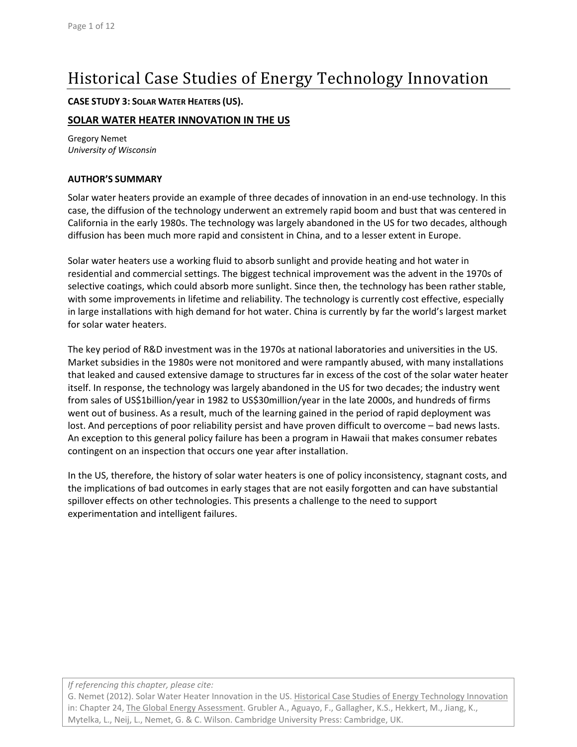# Historical Case Studies of Energy Technology Innovation

### **CASE STUDY 3: SOLAR WATER HEATERS (US).**

### **SOLAR WATER HEATER INNOVATION IN THE US**

Gregory Nemet *University of Wisconsin*

### **AUTHOR'S SUMMARY**

Solar water heaters provide an example of three decades of innovation in an end‐use technology. In this case, the diffusion of the technology underwent an extremely rapid boom and bust that was centered in California in the early 1980s. The technology was largely abandoned in the US for two decades, although diffusion has been much more rapid and consistent in China, and to a lesser extent in Europe.

Solar water heaters use a working fluid to absorb sunlight and provide heating and hot water in residential and commercial settings. The biggest technical improvement was the advent in the 1970s of selective coatings, which could absorb more sunlight. Since then, the technology has been rather stable, with some improvements in lifetime and reliability. The technology is currently cost effective, especially in large installations with high demand for hot water. China is currently by far the world's largest market for solar water heaters.

The key period of R&D investment was in the 1970s at national laboratories and universities in the US. Market subsidies in the 1980s were not monitored and were rampantly abused, with many installations that leaked and caused extensive damage to structures far in excess of the cost of the solar water heater itself. In response, the technology was largely abandoned in the US for two decades; the industry went from sales of US\$1billion/year in 1982 to US\$30million/year in the late 2000s, and hundreds of firms went out of business. As a result, much of the learning gained in the period of rapid deployment was lost. And perceptions of poor reliability persist and have proven difficult to overcome – bad news lasts. An exception to this general policy failure has been a program in Hawaii that makes consumer rebates contingent on an inspection that occurs one year after installation.

In the US, therefore, the history of solar water heaters is one of policy inconsistency, stagnant costs, and the implications of bad outcomes in early stages that are not easily forgotten and can have substantial spillover effects on other technologies. This presents a challenge to the need to support experimentation and intelligent failures.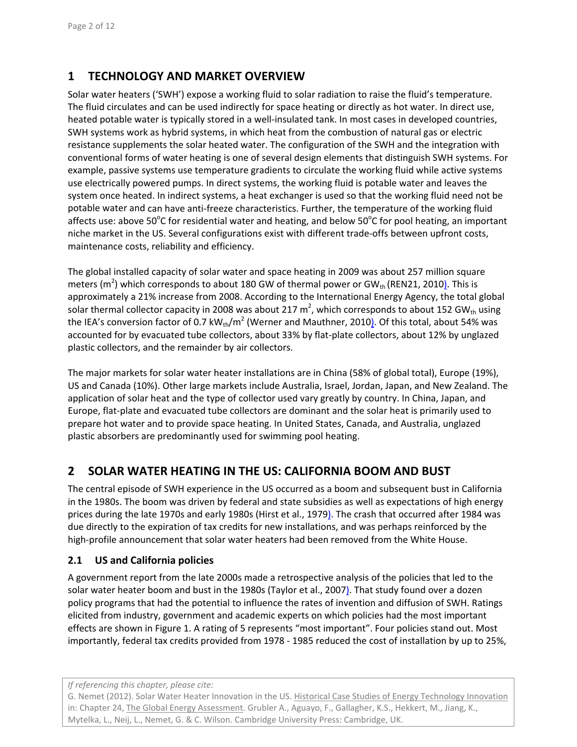# **1 TECHNOLOGY AND MARKET OVERVIEW**

Solar water heaters ('SWH') expose a working fluid to solar radiation to raise the fluid's temperature. The fluid circulates and can be used indirectly for space heating or directly as hot water. In direct use, heated potable water is typically stored in a well-insulated tank. In most cases in developed countries, SWH systems work as hybrid systems, in which heat from the combustion of natural gas or electric resistance supplements the solar heated water. The configuration of the SWH and the integration with conventional forms of water heating is one of several design elements that distinguish SWH systems. For example, passive systems use temperature gradients to circulate the working fluid while active systems use electrically powered pumps. In direct systems, the working fluid is potable water and leaves the system once heated. In indirect systems, a heat exchanger is used so that the working fluid need not be potable water and can have anti‐freeze characteristics. Further, the temperature of the working fluid affects use: above 50°C for residential water and heating, and below 50°C for pool heating, an important niche market in the US. Several configurations exist with different trade‐offs between upfront costs, maintenance costs, reliability and efficiency.

The global installed capacity of solar water and space heating in 2009 was about 257 million square meters (m<sup>2</sup>) which corresponds to about 180 GW of thermal power or GW<sub>th</sub> (REN21, 2010). This is approximately a 21% increase from 2008. According to the International Energy Agency, the total global solar thermal collector capacity in 2008 was about 217 m<sup>2</sup>, which corresponds to about 152 GW<sub>th</sub> using the IEA's conversion factor of 0.7 kW<sub>th</sub>/m<sup>2</sup> (Werner and Mauthner, 2010). Of this total, about 54% was accounted for by evacuated tube collectors, about 33% by flat‐plate collectors, about 12% by unglazed plastic collectors, and the remainder by air collectors.

The major markets for solar water heater installations are in China (58% of global total), Europe (19%), US and Canada (10%). Other large markets include Australia, Israel, Jordan, Japan, and New Zealand. The application of solar heat and the type of collector used vary greatly by country. In China, Japan, and Europe, flat‐plate and evacuated tube collectors are dominant and the solar heat is primarily used to prepare hot water and to provide space heating. In United States, Canada, and Australia, unglazed plastic absorbers are predominantly used for swimming pool heating.

# **2 SOLAR WATER HEATING IN THE US: CALIFORNIA BOOM AND BUST**

The central episode of SWH experience in the US occurred as a boom and subsequent bust in California in the 1980s. The boom was driven by federal and state subsidies as well as expectations of high energy prices during the late 1970s and early 1980s (Hirst et al., 1979). The crash that occurred after 1984 was due directly to the expiration of tax credits for new installations, and was perhaps reinforced by the high-profile announcement that solar water heaters had been removed from the White House.

### **2.1 US and California policies**

A government report from the late 2000s made a retrospective analysis of the policies that led to the solar water heater boom and bust in the 1980s (Taylor et al., 2007). That study found over a dozen policy programs that had the potential to influence the rates of invention and diffusion of SWH. Ratings elicited from industry, government and academic experts on which policies had the most important effects are shown in Figure 1. A rating of 5 represents "most important". Four policies stand out. Most importantly, federal tax credits provided from 1978 ‐ 1985 reduced the cost of installation by up to 25%,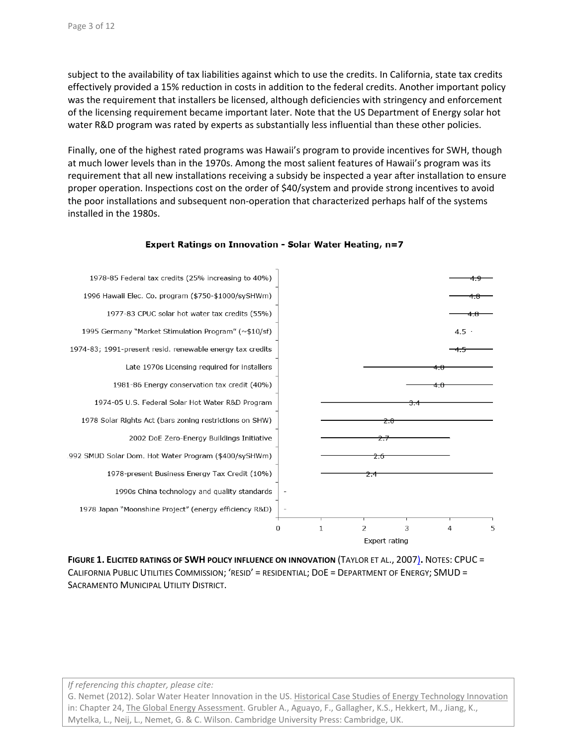subject to the availability of tax liabilities against which to use the credits. In California, state tax credits effectively provided a 15% reduction in costs in addition to the federal credits. Another important policy was the requirement that installers be licensed, although deficiencies with stringency and enforcement of the licensing requirement became important later. Note that the US Department of Energy solar hot water R&D program was rated by experts as substantially less influential than these other policies.

Finally, one of the highest rated programs was Hawaii's program to provide incentives for SWH, though at much lower levels than in the 1970s. Among the most salient features of Hawaii's program was its requirement that all new installations receiving a subsidy be inspected a year after installation to ensure proper operation. Inspections cost on the order of \$40/system and provide strong incentives to avoid the poor installations and subsequent non‐operation that characterized perhaps half of the systems installed in the 1980s.



#### Expert Ratings on Innovation - Solar Water Heating, n=7

**FIGURE 1. ELICITED RATINGS OF SWH POLICY INFLUENCE ON INNOVATION** (TAYLOR ET AL., 2007)**.** NOTES: CPUC = CALIFORNIA PUBLIC UTILITIES COMMISSION; 'RESID' = RESIDENTIAL; DOE = DEPARTMENT OF ENERGY; SMUD = SACRAMENTO MUNICIPAL UTILITY DISTRICT.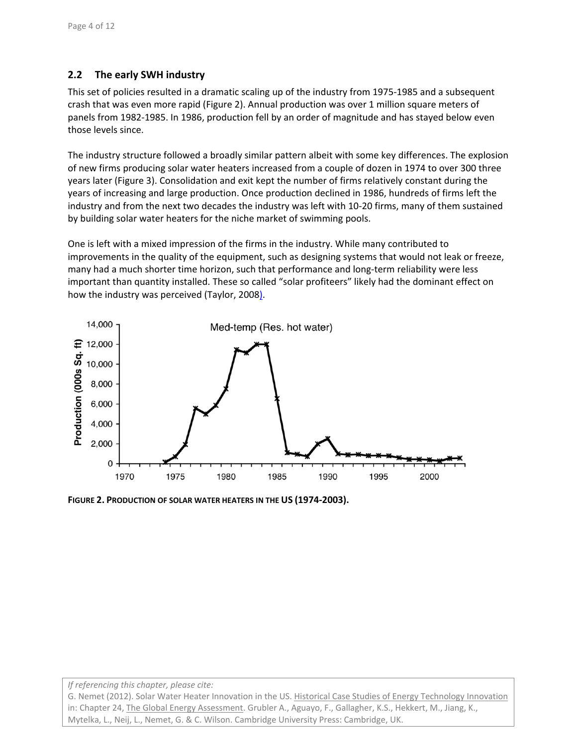### **2.2 The early SWH industry**

This set of policies resulted in a dramatic scaling up of the industry from 1975‐1985 and a subsequent crash that was even more rapid (Figure 2). Annual production was over 1 million square meters of panels from 1982‐1985. In 1986, production fell by an order of magnitude and has stayed below even those levels since.

The industry structure followed a broadly similar pattern albeit with some key differences. The explosion of new firms producing solar water heaters increased from a couple of dozen in 1974 to over 300 three years later (Figure 3). Consolidation and exit kept the number of firms relatively constant during the years of increasing and large production. Once production declined in 1986, hundreds of firms left the industry and from the next two decades the industry was left with 10‐20 firms, many of them sustained by building solar water heaters for the niche market of swimming pools.

One is left with a mixed impression of the firms in the industry. While many contributed to improvements in the quality of the equipment, such as designing systems that would not leak or freeze, many had a much shorter time horizon, such that performance and long-term reliability were less important than quantity installed. These so called "solar profiteers" likely had the dominant effect on how the industry was perceived (Taylor, 2008).



**FIGURE 2. PRODUCTION OF SOLAR WATER HEATERS IN THE US (1974‐2003).**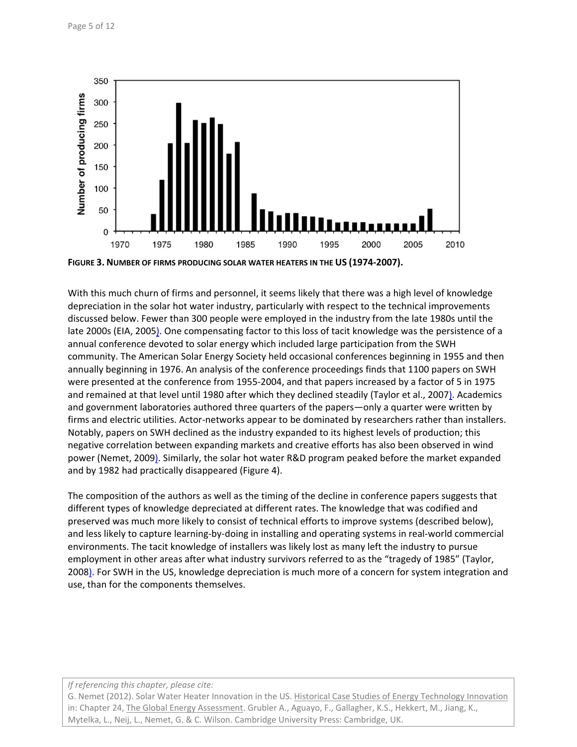

**FIGURE 3. NUMBER OF FIRMS PRODUCING SOLAR WATER HEATERS IN THE US (1974‐2007).**

With this much churn of firms and personnel, it seems likely that there was a high level of knowledge depreciation in the solar hot water industry, particularly with respect to the technical improvements discussed below. Fewer than 300 people were employed in the industry from the late 1980s until the late 2000s (EIA, 2005). One compensating factor to this loss of tacit knowledge was the persistence of a annual conference devoted to solar energy which included large participation from the SWH community. The American Solar Energy Society held occasional conferences beginning in 1955 and then annually beginning in 1976. An analysis of the conference proceedings finds that 1100 papers on SWH were presented at the conference from 1955‐2004, and that papers increased by a factor of 5 in 1975 and remained at that level until 1980 after which they declined steadily (Taylor et al., 2007). Academics and government laboratories authored three quarters of the papers—only a quarter were written by firms and electric utilities. Actor-networks appear to be dominated by researchers rather than installers. Notably, papers on SWH declined as the industry expanded to its highest levels of production; this negative correlation between expanding markets and creative efforts has also been observed in wind power (Nemet, 2009). Similarly, the solar hot water R&D program peaked before the market expanded and by 1982 had practically disappeared (Figure 4).

The composition of the authors as well as the timing of the decline in conference papers suggests that different types of knowledge depreciated at different rates. The knowledge that was codified and preserved was much more likely to consist of technical efforts to improve systems (described below), and less likely to capture learning‐by‐doing in installing and operating systems in real‐world commercial environments. The tacit knowledge of installers was likely lost as many left the industry to pursue employment in other areas after what industry survivors referred to as the "tragedy of 1985" (Taylor, 2008). For SWH in the US, knowledge depreciation is much more of a concern for system integration and use, than for the components themselves.

#### *If referencing this chapter, please cite:*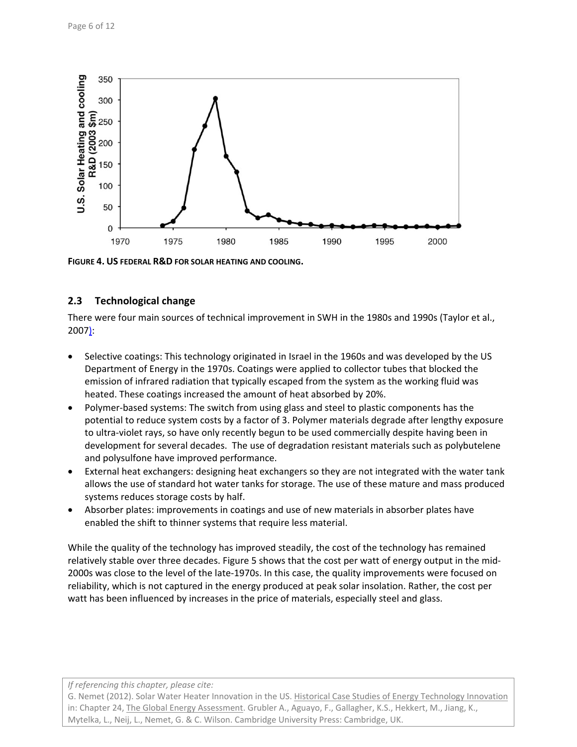

**FIGURE 4. US FEDERAL R&D FOR SOLAR HEATING AND COOLING.**

### **2.3 Technological change**

There were four main sources of technical improvement in SWH in the 1980s and 1990s (Taylor et al., 2007):

- Selective coatings: This technology originated in Israel in the 1960s and was developed by the US Department of Energy in the 1970s. Coatings were applied to collector tubes that blocked the emission of infrared radiation that typically escaped from the system as the working fluid was heated. These coatings increased the amount of heat absorbed by 20%.
- Polymer‐based systems: The switch from using glass and steel to plastic components has the potential to reduce system costs by a factor of 3. Polymer materials degrade after lengthy exposure to ultra‐violet rays, so have only recently begun to be used commercially despite having been in development for several decades. The use of degradation resistant materials such as polybutelene and polysulfone have improved performance.
- External heat exchangers: designing heat exchangers so they are not integrated with the water tank allows the use of standard hot water tanks for storage. The use of these mature and mass produced systems reduces storage costs by half.
- Absorber plates: improvements in coatings and use of new materials in absorber plates have enabled the shift to thinner systems that require less material.

While the quality of the technology has improved steadily, the cost of the technology has remained relatively stable over three decades. Figure 5 shows that the cost per watt of energy output in the mid‐ 2000s was close to the level of the late‐1970s. In this case, the quality improvements were focused on reliability, which is not captured in the energy produced at peak solar insolation. Rather, the cost per watt has been influenced by increases in the price of materials, especially steel and glass.

*If referencing this chapter, please cite:*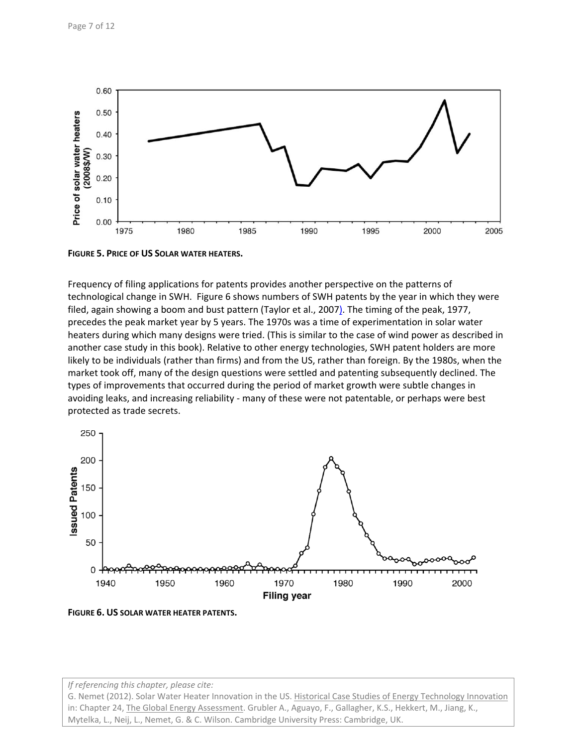

**FIGURE 5. PRICE OF US SOLAR WATER HEATERS.**

Frequency of filing applications for patents provides another perspective on the patterns of technological change in SWH. Figure 6 shows numbers of SWH patents by the year in which they were filed, again showing a boom and bust pattern (Taylor et al., 2007). The timing of the peak, 1977, precedes the peak market year by 5 years. The 1970s was a time of experimentation in solar water heaters during which many designs were tried. (This is similar to the case of wind power as described in another case study in this book). Relative to other energy technologies, SWH patent holders are more likely to be individuals (rather than firms) and from the US, rather than foreign. By the 1980s, when the market took off, many of the design questions were settled and patenting subsequently declined. The types of improvements that occurred during the period of market growth were subtle changes in avoiding leaks, and increasing reliability ‐ many of these were not patentable, or perhaps were best protected as trade secrets.



**FIGURE 6. US SOLAR WATER HEATER PATENTS.**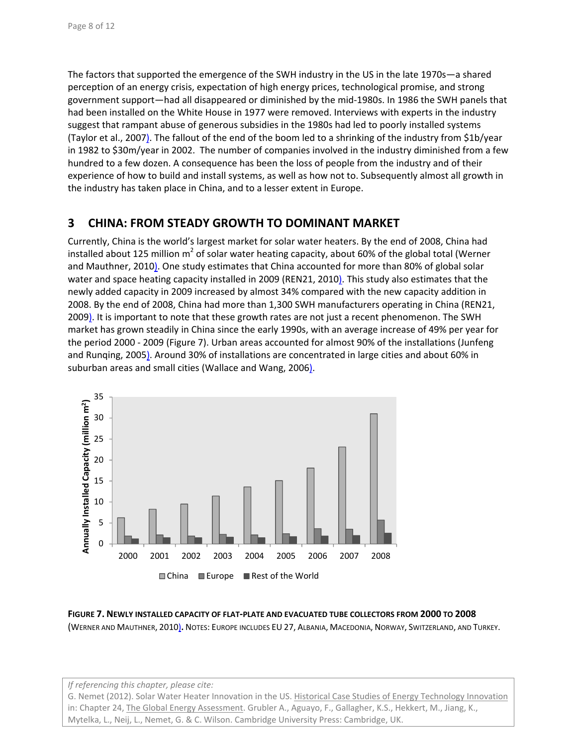The factors that supported the emergence of the SWH industry in the US in the late 1970s—a shared perception of an energy crisis, expectation of high energy prices, technological promise, and strong government support—had all disappeared or diminished by the mid‐1980s. In 1986 the SWH panels that had been installed on the White House in 1977 were removed. Interviews with experts in the industry suggest that rampant abuse of generous subsidies in the 1980s had led to poorly installed systems (Taylor et al., 2007). The fallout of the end of the boom led to a shrinking of the industry from \$1b/year in 1982 to \$30m/year in 2002. The number of companies involved in the industry diminished from a few hundred to a few dozen. A consequence has been the loss of people from the industry and of their experience of how to build and install systems, as well as how not to. Subsequently almost all growth in the industry has taken place in China, and to a lesser extent in Europe.

## **3 CHINA: FROM STEADY GROWTH TO DOMINANT MARKET**

Currently, China is the world's largest market for solar water heaters. By the end of 2008, China had installed about 125 million  $m^2$  of solar water heating capacity, about 60% of the global total (Werner and Mauthner, 2010). One study estimates that China accounted for more than 80% of global solar water and space heating capacity installed in 2009 (REN21, 2010). This study also estimates that the newly added capacity in 2009 increased by almost 34% compared with the new capacity addition in 2008. By the end of 2008, China had more than 1,300 SWH manufacturers operating in China (REN21, 2009). It is important to note that these growth rates are not just a recent phenomenon. The SWH market has grown steadily in China since the early 1990s, with an average increase of 49% per year for the period 2000 ‐ 2009 (Figure 7). Urban areas accounted for almost 90% of the installations (Junfeng and Runqing, 2005). Around 30% of installations are concentrated in large cities and about 60% in suburban areas and small cities (Wallace and Wang, 2006).



**FIGURE 7. NEWLY INSTALLED CAPACITY OF FLAT‐PLATE AND EVACUATED TUBE COLLECTORS FROM 2000 TO 2008** (WERNER AND MAUTHNER, 2010)**.** NOTES: EUROPE INCLUDES EU 27, ALBANIA, MACEDONIA, NORWAY, SWITZERLAND, AND TURKEY.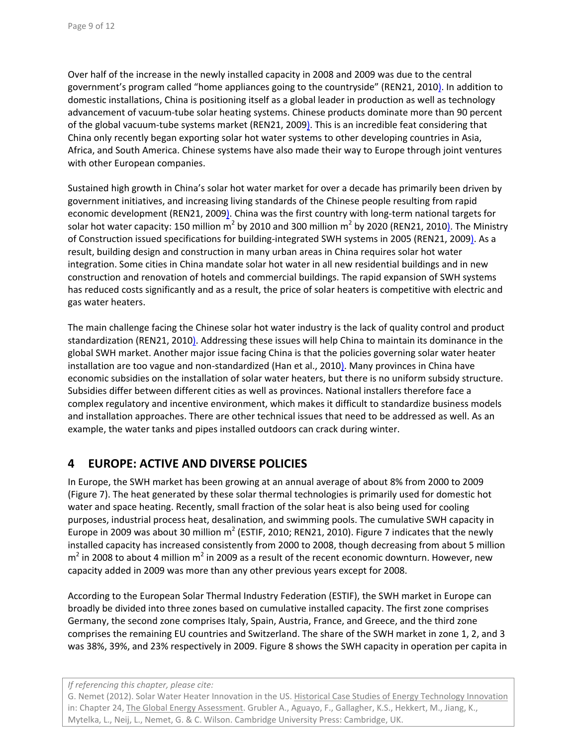Over half of the increase in the newly installed capacity in 2008 and 2009 was due to the central government's program called "home appliances going to the countryside" (REN21, 2010). In addition to domestic installations, China is positioning itself as a global leader in production as well as technology advancement of vacuum‐tube solar heating systems. Chinese products dominate more than 90 percent of the global vacuum‐tube systems market (REN21, 2009). This is an incredible feat considering that China only recently began exporting solar hot water systems to other developing countries in Asia, Africa, and South America. Chinese systems have also made their way to Europe through joint ventures with other European companies.

Sustained high growth in China's solar hot water market for over a decade has primarily been driven by government initiatives, and increasing living standards of the Chinese people resulting from rapid economic development (REN21, 2009). China was the first country with long-term national targets for solar hot water capacity: 150 million  $m^2$  by 2010 and 300 million  $m^2$  by 2020 (REN21, 2010). The Ministry of Construction issued specifications for building‐integrated SWH systems in 2005 (REN21, 2009). As a result, building design and construction in many urban areas in China requires solar hot water integration. Some cities in China mandate solar hot water in all new residential buildings and in new construction and renovation of hotels and commercial buildings. The rapid expansion of SWH systems has reduced costs significantly and as a result, the price of solar heaters is competitive with electric and gas water heaters.

The main challenge facing the Chinese solar hot water industry is the lack of quality control and product standardization (REN21, 2010). Addressing these issues will help China to maintain its dominance in the global SWH market. Another major issue facing China is that the policies governing solar water heater installation are too vague and non‐standardized (Han et al., 2010). Many provinces in China have economic subsidies on the installation of solar water heaters, but there is no uniform subsidy structure. Subsidies differ between different cities as well as provinces. National installers therefore face a complex regulatory and incentive environment, which makes it difficult to standardize business models and installation approaches. There are other technical issues that need to be addressed as well. As an example, the water tanks and pipes installed outdoors can crack during winter.

### **4 EUROPE: ACTIVE AND DIVERSE POLICIES**

In Europe, the SWH market has been growing at an annual average of about 8% from 2000 to 2009 (Figure 7). The heat generated by these solar thermal technologies is primarily used for domestic hot water and space heating. Recently, small fraction of the solar heat is also being used for cooling purposes, industrial process heat, desalination, and swimming pools. The cumulative SWH capacity in Europe in 2009 was about 30 million  $m^2$  (ESTIF, 2010; REN21, 2010). Figure 7 indicates that the newly installed capacity has increased consistently from 2000 to 2008, though decreasing from about 5 million  $m<sup>2</sup>$  in 2008 to about 4 million  $m<sup>2</sup>$  in 2009 as a result of the recent economic downturn. However, new capacity added in 2009 was more than any other previous years except for 2008.

According to the European Solar Thermal Industry Federation (ESTIF), the SWH market in Europe can broadly be divided into three zones based on cumulative installed capacity. The first zone comprises Germany, the second zone comprises Italy, Spain, Austria, France, and Greece, and the third zone comprises the remaining EU countries and Switzerland. The share of the SWH market in zone 1, 2, and 3 was 38%, 39%, and 23% respectively in 2009. Figure 8 shows the SWH capacity in operation per capita in

*If referencing this chapter, please cite:*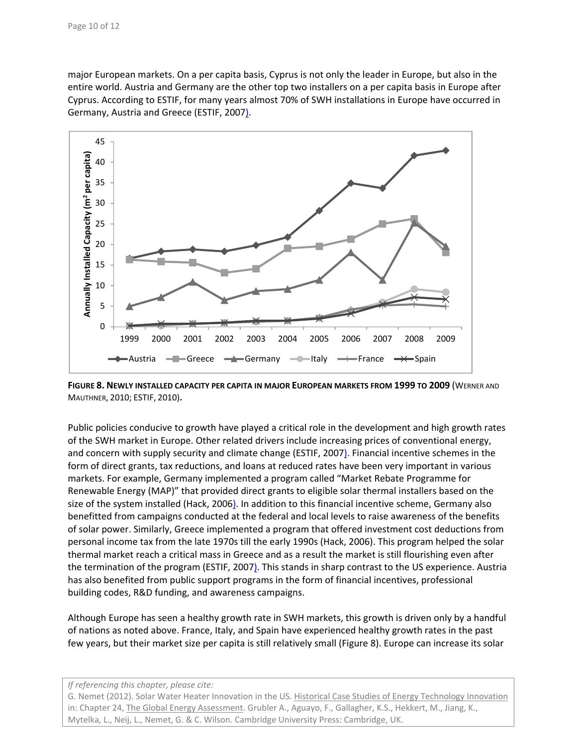major European markets. On a per capita basis, Cyprus is not only the leader in Europe, but also in the entire world. Austria and Germany are the other top two installers on a per capita basis in Europe after Cyprus. According to ESTIF, for many years almost 70% of SWH installations in Europe have occurred in Germany, Austria and Greece (ESTIF, 2007).



**FIGURE 8. NEWLY INSTALLED CAPACITY PER CAPITA IN MAJOR EUROPEAN MARKETS FROM 1999 TO 2009** (WERNER AND MAUTHNER, 2010; ESTIF, 2010)**.**

Public policies conducive to growth have played a critical role in the development and high growth rates of the SWH market in Europe. Other related drivers include increasing prices of conventional energy, and concern with supply security and climate change (ESTIF, 2007). Financial incentive schemes in the form of direct grants, tax reductions, and loans at reduced rates have been very important in various markets. For example, Germany implemented a program called "Market Rebate Programme for Renewable Energy (MAP)" that provided direct grants to eligible solar thermal installers based on the size of the system installed (Hack, 2006). In addition to this financial incentive scheme, Germany also benefitted from campaigns conducted at the federal and local levels to raise awareness of the benefits of solar power. Similarly, Greece implemented a program that offered investment cost deductions from personal income tax from the late 1970s till the early 1990s (Hack, 2006). This program helped the solar thermal market reach a critical mass in Greece and as a result the market is still flourishing even after the termination of the program (ESTIF, 2007). This stands in sharp contrast to the US experience. Austria has also benefited from public support programs in the form of financial incentives, professional building codes, R&D funding, and awareness campaigns.

Although Europe has seen a healthy growth rate in SWH markets, this growth is driven only by a handful of nations as noted above. France, Italy, and Spain have experienced healthy growth rates in the past few years, but their market size per capita is still relatively small (Figure 8). Europe can increase its solar

#### *If referencing this chapter, please cite:*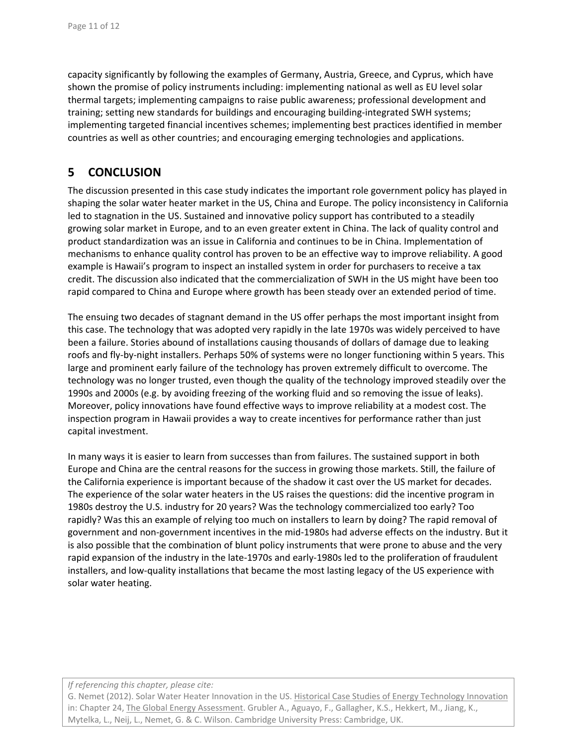capacity significantly by following the examples of Germany, Austria, Greece, and Cyprus, which have shown the promise of policy instruments including: implementing national as well as EU level solar thermal targets; implementing campaigns to raise public awareness; professional development and training; setting new standards for buildings and encouraging building-integrated SWH systems; implementing targeted financial incentives schemes; implementing best practices identified in member countries as well as other countries; and encouraging emerging technologies and applications.

# **5 CONCLUSION**

The discussion presented in this case study indicates the important role government policy has played in shaping the solar water heater market in the US, China and Europe. The policy inconsistency in California led to stagnation in the US. Sustained and innovative policy support has contributed to a steadily growing solar market in Europe, and to an even greater extent in China. The lack of quality control and product standardization was an issue in California and continues to be in China. Implementation of mechanisms to enhance quality control has proven to be an effective way to improve reliability. A good example is Hawaii's program to inspect an installed system in order for purchasers to receive a tax credit. The discussion also indicated that the commercialization of SWH in the US might have been too rapid compared to China and Europe where growth has been steady over an extended period of time.

The ensuing two decades of stagnant demand in the US offer perhaps the most important insight from this case. The technology that was adopted very rapidly in the late 1970s was widely perceived to have been a failure. Stories abound of installations causing thousands of dollars of damage due to leaking roofs and fly‐by‐night installers. Perhaps 50% of systems were no longer functioning within 5 years. This large and prominent early failure of the technology has proven extremely difficult to overcome. The technology was no longer trusted, even though the quality of the technology improved steadily over the 1990s and 2000s (e.g. by avoiding freezing of the working fluid and so removing the issue of leaks). Moreover, policy innovations have found effective ways to improve reliability at a modest cost. The inspection program in Hawaii provides a way to create incentives for performance rather than just capital investment.

In many ways it is easier to learn from successes than from failures. The sustained support in both Europe and China are the central reasons for the success in growing those markets. Still, the failure of the California experience is important because of the shadow it cast over the US market for decades. The experience of the solar water heaters in the US raises the questions: did the incentive program in 1980s destroy the U.S. industry for 20 years? Was the technology commercialized too early? Too rapidly? Was this an example of relying too much on installers to learn by doing? The rapid removal of government and non‐government incentives in the mid‐1980s had adverse effects on the industry. But it is also possible that the combination of blunt policy instruments that were prone to abuse and the very rapid expansion of the industry in the late-1970s and early-1980s led to the proliferation of fraudulent installers, and low-quality installations that became the most lasting legacy of the US experience with solar water heating.

#### *If referencing this chapter, please cite:*